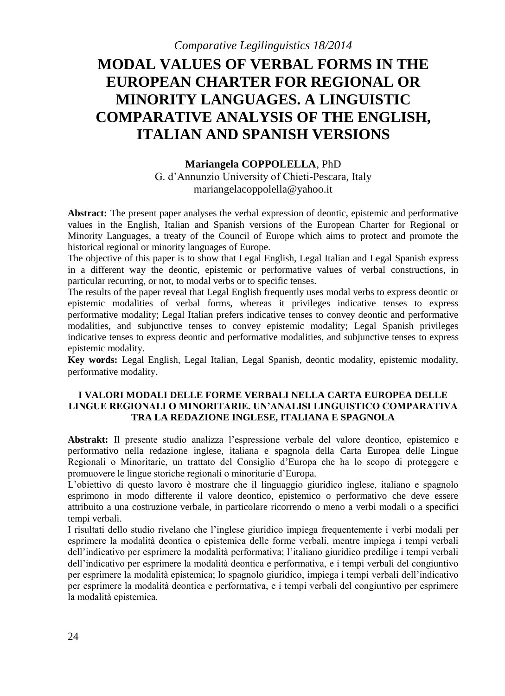# **MODAL VALUES OF VERBAL FORMS IN THE EUROPEAN CHARTER FOR REGIONAL OR MINORITY LANGUAGES. A LINGUISTIC COMPARATIVE ANALYSIS OF THE ENGLISH, ITALIAN AND SPANISH VERSIONS**

### **Mariangela COPPOLELLA**, PhD

G. d'Annunzio University of Chieti-Pescara, Italy mariangelacoppolella@yahoo.it

**Abstract:** The present paper analyses the verbal expression of deontic, epistemic and performative values in the English, Italian and Spanish versions of the European Charter for Regional or Minority Languages, a treaty of the Council of Europe which aims to protect and promote the historical regional or minority languages of Europe.

The objective of this paper is to show that Legal English, Legal Italian and Legal Spanish express in a different way the deontic, epistemic or performative values of verbal constructions, in particular recurring, or not, to modal verbs or to specific tenses.

The results of the paper reveal that Legal English frequently uses modal verbs to express deontic or epistemic modalities of verbal forms, whereas it privileges indicative tenses to express performative modality; Legal Italian prefers indicative tenses to convey deontic and performative modalities, and subjunctive tenses to convey epistemic modality; Legal Spanish privileges indicative tenses to express deontic and performative modalities, and subjunctive tenses to express epistemic modality.

**Key words:** Legal English, Legal Italian, Legal Spanish, deontic modality, epistemic modality, performative modality.

### **I VALORI MODALI DELLE FORME VERBALI NELLA CARTA EUROPEA DELLE LINGUE REGIONALI O MINORITARIE. UN'ANALISI LINGUISTICO COMPARATIVA TRA LA REDAZIONE INGLESE, ITALIANA E SPAGNOLA**

**Abstrakt:** Il presente studio analizza l'espressione verbale del valore deontico, epistemico e performativo nella redazione inglese, italiana e spagnola della Carta Europea delle Lingue Regionali o Minoritarie, un trattato del Consiglio d'Europa che ha lo scopo di proteggere e promuovere le lingue storiche regionali o minoritarie d'Europa.

L'obiettivo di questo lavoro è mostrare che il linguaggio giuridico inglese, italiano e spagnolo esprimono in modo differente il valore deontico, epistemico o performativo che deve essere attribuito a una costruzione verbale, in particolare ricorrendo o meno a verbi modali o a specifici tempi verbali.

I risultati dello studio rivelano che l'inglese giuridico impiega frequentemente i verbi modali per esprimere la modalità deontica o epistemica delle forme verbali, mentre impiega i tempi verbali dell'indicativo per esprimere la modalità performativa; l'italiano giuridico predilige i tempi verbali dell'indicativo per esprimere la modalità deontica e performativa, e i tempi verbali del congiuntivo per esprimere la modalità epistemica; lo spagnolo giuridico, impiega i tempi verbali dell'indicativo per esprimere la modalità deontica e performativa, e i tempi verbali del congiuntivo per esprimere la modalità epistemica.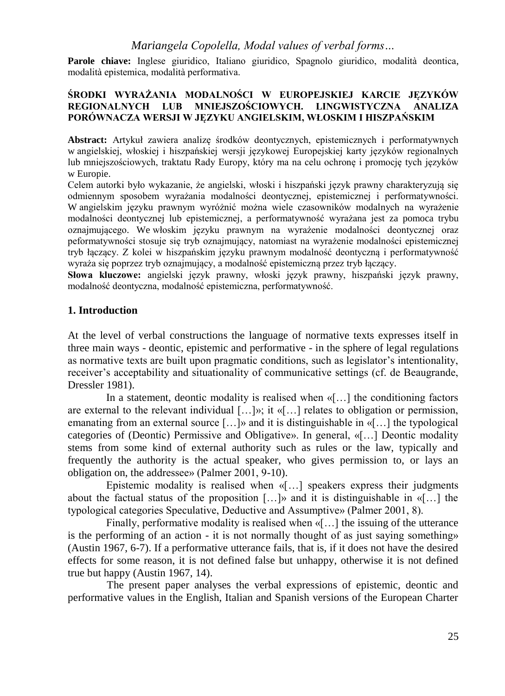**Parole chiave:** Inglese giuridico, Italiano giuridico, Spagnolo giuridico, modalità deontica, modalità epistemica, modalità performativa.

### **ŚRODKI WYRAŻANIA MODALNOŚCI W EUROPEJSKIEJ KARCIE JĘZYKÓW REGIONALNYCH LUB MNIEJSZOŚCIOWYCH. LINGWISTYCZNA ANALIZA PORÓWNACZA WERSJI W JĘZYKU ANGIELSKIM, WŁOSKIM I HISZPAŃSKIM**

**Abstract:** Artykuł zawiera analizę środków deontycznych, epistemicznych i performatywnych w angielskiej, włoskiej i hiszpańskiej wersji językowej Europejskiej karty języków regionalnych lub mniejszościowych, traktatu Rady Europy, który ma na celu ochronę i promocję tych języków w Europie.

Celem autorki było wykazanie, że angielski, włoski i hiszpański język prawny charakteryzują się odmiennym sposobem wyrażania modalności deontycznej, epistemicznej i performatywności. W angielskim języku prawnym wyróżnić można wiele czasowników modalnych na wyrażenie modalności deontycznej lub epistemicznej, a performatywność wyrażana jest za pomoca trybu oznajmującego. We włoskim języku prawnym na wyrażenie modalności deontycznej oraz peformatywności stosuje się tryb oznajmujący, natomiast na wyrażenie modalności epistemicznej tryb łączący. Z kolei w hiszpańskim języku prawnym modalność deontyczną i performatywność wyraża się poprzez tryb oznajmujący, a modalność epistemiczną przez tryb łączący.

**Słowa kluczowe:** angielski język prawny, włoski język prawny, hiszpański język prawny, modalność deontyczna, modalność epistemiczna, performatywność.

# **1. Introduction**

At the level of verbal constructions the language of normative texts expresses itself in three main ways - deontic, epistemic and performative - in the sphere of legal regulations as normative texts are built upon pragmatic conditions, such as legislator's intentionality, receiver's acceptability and situationality of communicative settings (cf. de Beaugrande, Dressler 1981).

In a statement, deontic modality is realised when «[…] the conditioning factors are external to the relevant individual  $[\ldots]$ »; it « $[\ldots]$  relates to obligation or permission, emanating from an external source […]» and it is distinguishable in «[…] the typological categories of (Deontic) Permissive and Obligative». In general, «[…] Deontic modality stems from some kind of external authority such as rules or the law, typically and frequently the authority is the actual speaker, who gives permission to, or lays an obligation on, the addressee» (Palmer 2001, 9-10).

Epistemic modality is realised when «[…] speakers express their judgments about the factual status of the proposition  $[...]$  and it is distinguishable in «[...] the typological categories Speculative, Deductive and Assumptive» (Palmer 2001, 8).

Finally, performative modality is realised when «[…] the issuing of the utterance is the performing of an action - it is not normally thought of as just saying something» (Austin 1967, 6-7). If a performative utterance fails, that is, if it does not have the desired effects for some reason, it is not defined false but unhappy, otherwise it is not defined true but happy (Austin 1967, 14).

The present paper analyses the verbal expressions of epistemic, deontic and performative values in the English, Italian and Spanish versions of the European Charter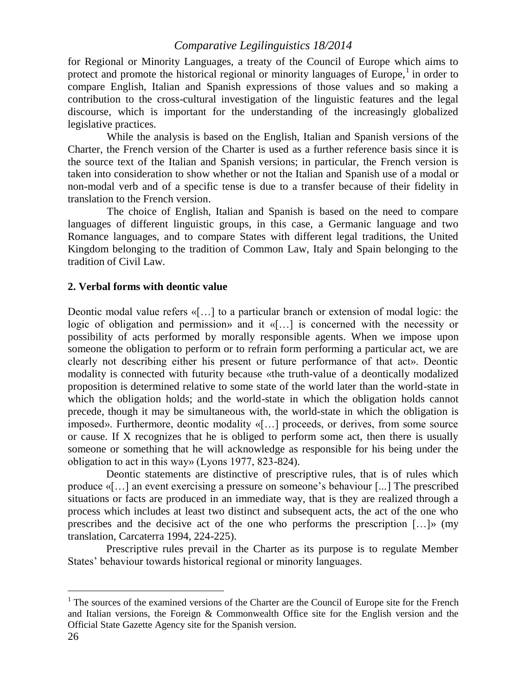for Regional or Minority Languages, a treaty of the Council of Europe which aims to protect and promote the historical regional or minority languages of Europe, $<sup>1</sup>$  in order to</sup> compare English, Italian and Spanish expressions of those values and so making a contribution to the cross-cultural investigation of the linguistic features and the legal discourse, which is important for the understanding of the increasingly globalized legislative practices.

While the analysis is based on the English, Italian and Spanish versions of the Charter, the French version of the Charter is used as a further reference basis since it is the source text of the Italian and Spanish versions; in particular, the French version is taken into consideration to show whether or not the Italian and Spanish use of a modal or non-modal verb and of a specific tense is due to a transfer because of their fidelity in translation to the French version.

The choice of English, Italian and Spanish is based on the need to compare languages of different linguistic groups, in this case, a Germanic language and two Romance languages, and to compare States with different legal traditions, the United Kingdom belonging to the tradition of Common Law, Italy and Spain belonging to the tradition of Civil Law.

# **2. Verbal forms with deontic value**

Deontic modal value refers  $\langle \cdot | \cdot \cdot |$  to a particular branch or extension of modal logic: the logic of obligation and permission» and it «[…] is concerned with the necessity or possibility of acts performed by morally responsible agents. When we impose upon someone the obligation to perform or to refrain form performing a particular act, we are clearly not describing either his present or future performance of that act». Deontic modality is connected with futurity because «the truth-value of a deontically modalized proposition is determined relative to some state of the world later than the world-state in which the obligation holds; and the world-state in which the obligation holds cannot precede, though it may be simultaneous with, the world-state in which the obligation is imposed». Furthermore, deontic modality «[…] proceeds, or derives, from some source or cause. If X recognizes that he is obliged to perform some act, then there is usually someone or something that he will acknowledge as responsible for his being under the obligation to act in this way» (Lyons 1977, 823-824).

Deontic statements are distinctive of prescriptive rules, that is of rules which produce «[…] an event exercising a pressure on someone's behaviour [...] The prescribed situations or facts are produced in an immediate way, that is they are realized through a process which includes at least two distinct and subsequent acts, the act of the one who prescribes and the decisive act of the one who performs the prescription  $[\dots]$  (my translation, Carcaterra 1994, 224-225).

Prescriptive rules prevail in the Charter as its purpose is to regulate Member States' behaviour towards historical regional or minority languages.

 $\overline{a}$ 

 $<sup>1</sup>$  The sources of the examined versions of the Charter are the Council of Europe site for the French</sup> and Italian versions, the Foreign & Commonwealth Office site for the English version and the Official State Gazette Agency site for the Spanish version.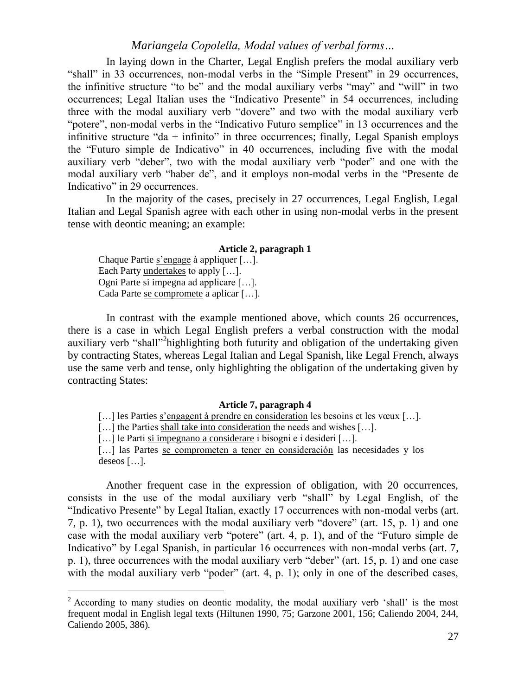In laying down in the Charter, Legal English prefers the modal auxiliary verb "shall" in 33 occurrences, non-modal verbs in the "Simple Present" in 29 occurrences, the infinitive structure "to be" and the modal auxiliary verbs "may" and "will" in two occurrences; Legal Italian uses the "Indicativo Presente" in 54 occurrences, including three with the modal auxiliary verb "dovere" and two with the modal auxiliary verb "potere", non-modal verbs in the "Indicativo Futuro semplice" in 13 occurrences and the infinitive structure "da  $+$  infinito" in three occurrences; finally, Legal Spanish employs the "Futuro simple de Indicativo" in 40 occurrences, including five with the modal auxiliary verb "deber", two with the modal auxiliary verb "poder" and one with the modal auxiliary verb "haber de", and it employs non-modal verbs in the "Presente de Indicativo" in 29 occurrences.

In the majority of the cases, precisely in 27 occurrences, Legal English, Legal Italian and Legal Spanish agree with each other in using non-modal verbs in the present tense with deontic meaning; an example:

## **Article 2, paragraph 1**

Chaque Partie s'engage à appliquer […]. Each Party undertakes to apply [...]. Ogni Parte si impegna ad applicare […]. Cada Parte se compromete a aplicar […].

 $\overline{a}$ 

In contrast with the example mentioned above, which counts 26 occurrences, there is a case in which Legal English prefers a verbal construction with the modal auxiliary verb "shall"<sup>2</sup>highlighting both futurity and obligation of the undertaking given by contracting States, whereas Legal Italian and Legal Spanish, like Legal French, always use the same verb and tense, only highlighting the obligation of the undertaking given by contracting States:

## **Article 7, paragraph 4**

[...] les Parties s'engagent à prendre en consideration les besoins et les vœux [...].

[...] the Parties shall take into consideration the needs and wishes [...].

[…] le Parti si impegnano a considerare i bisogni e i desideri […].

[...] las Partes se comprometen a tener en consideración las necesidades y los deseos […].

Another frequent case in the expression of obligation, with 20 occurrences, consists in the use of the modal auxiliary verb "shall" by Legal English, of the "Indicativo Presente" by Legal Italian, exactly 17 occurrences with non-modal verbs (art. 7, p. 1), two occurrences with the modal auxiliary verb "dovere" (art. 15, p. 1) and one case with the modal auxiliary verb "potere" (art. 4, p. 1), and of the "Futuro simple de Indicativo" by Legal Spanish, in particular 16 occurrences with non-modal verbs (art. 7, p. 1), three occurrences with the modal auxiliary verb "deber" (art. 15, p. 1) and one case with the modal auxiliary verb "poder" (art. 4, p. 1); only in one of the described cases,

 $2$  According to many studies on deontic modality, the modal auxiliary verb 'shall' is the most frequent modal in English legal texts (Hiltunen 1990, 75; Garzone 2001, 156; Caliendo 2004, 244, Caliendo 2005, 386).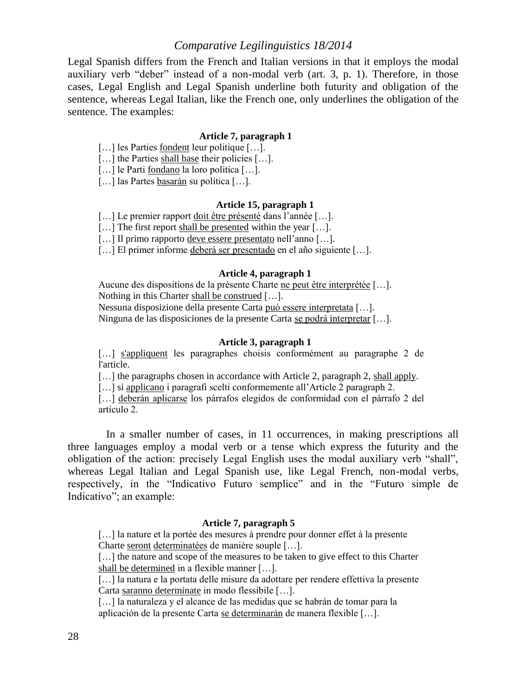Legal Spanish differs from the French and Italian versions in that it employs the modal auxiliary verb "deber" instead of a non-modal verb (art. 3, p. 1). Therefore, in those cases, Legal English and Legal Spanish underline both futurity and obligation of the sentence, whereas Legal Italian, like the French one, only underlines the obligation of the sentence. The examples:

#### **Article 7, paragraph 1**

- […] les Parties fondent leur politique […].
- [...] the Parties shall base their policies [...].
- [...] le Parti fondano la loro politica [...].
- [...] las Partes basarán su política [...].

#### **Article 15, paragraph 1**

[...] Le premier rapport doit être présenté dans l'année [...].

[...] The first report shall be presented within the year [...].

[…] Il primo rapporto deve essere presentato nell'anno […].

[...] El primer informe deberá ser presentado en el año siguiente [...].

#### **Article 4, paragraph 1**

Aucune des dispositions de la présente Charte ne peut être interprétée […]. Nothing in this Charter shall be construed […]. Nessuna disposizione della presente Carta può essere interpretata […].

Ninguna de las disposiciones de la presente Carta se podrá interpretar […].

### **Article 3, paragraph 1**

[...] s'appliquent les paragraphes choisis conformément au paragraphe 2 de l'article.

[...] the paragraphs chosen in accordance with Article 2, paragraph 2, shall apply.

[...] si applicano i paragrafi scelti conformemente all'Article 2 paragraph 2.

[...] deberán aplicarse los párrafos elegidos de conformidad con el párrafo 2 del artículo 2.

In a smaller number of cases, in 11 occurrences, in making prescriptions all three languages employ a modal verb or a tense which express the futurity and the obligation of the action: precisely Legal English uses the modal auxiliary verb "shall", whereas Legal Italian and Legal Spanish use, like Legal French, non-modal verbs, respectively, in the "Indicativo Futuro semplice" and in the "Futuro simple de Indicativo"; an example:

## **Article 7, paragraph 5**

[...] la nature et la portée des mesures à prendre pour donner effet à la presente Charte seront determinatées de manière souple […].

[...] the nature and scope of the measures to be taken to give effect to this Charter shall be determined in a flexible manner […].

[...] la natura e la portata delle misure da adottare per rendere effettiva la presente Carta saranno determinate in modo flessibile […].

[...] la naturaleza y el alcance de las medidas que se habrán de tomar para la aplicación de la presente Carta se determinarán de manera flexible […].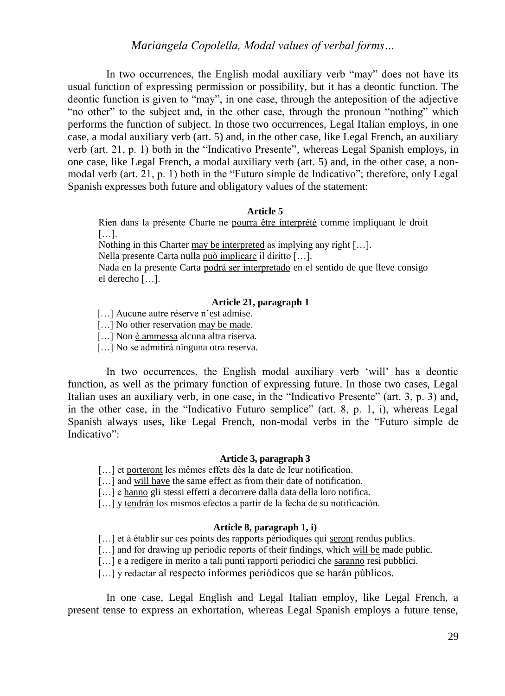In two occurrences, the English modal auxiliary verb "may" does not have its usual function of expressing permission or possibility, but it has a deontic function. The deontic function is given to "may", in one case, through the anteposition of the adjective "no other" to the subject and, in the other case, through the pronoun "nothing" which performs the function of subject. In those two occurrences, Legal Italian employs, in one case, a modal auxiliary verb (art. 5) and, in the other case, like Legal French, an auxiliary verb (art. 21, p. 1) both in the "Indicativo Presente", whereas Legal Spanish employs, in one case, like Legal French, a modal auxiliary verb (art. 5) and, in the other case, a nonmodal verb (art. 21, p. 1) both in the "Futuro simple de Indicativo"; therefore, only Legal Spanish expresses both future and obligatory values of the statement:

#### **Article 5**

Rien dans la présente Charte ne pourra être interprété comme impliquant le droit […].

Nothing in this Charter may be interpreted as implying any right […].

Nella presente Carta nulla può implicare il diritto […].

Nada en la presente Carta podrá ser interpretado en el sentido de que lleve consigo el derecho […].

### **Article 21, paragraph 1**

- [...] Aucune autre réserve n'est admise.
- [...] No other reservation may be made.
- [...] Non è ammessa alcuna altra riserva.
- [...] No se admitirá ninguna otra reserva.

In two occurrences, the English modal auxiliary verb 'will' has a deontic function, as well as the primary function of expressing future. In those two cases, Legal Italian uses an auxiliary verb, in one case, in the "Indicativo Presente" (art. 3, p. 3) and, in the other case, in the "Indicativo Futuro semplice" (art. 8, p. 1, i), whereas Legal Spanish always uses, like Legal French, non-modal verbs in the "Futuro simple de Indicativo":

### **Article 3, paragraph 3**

- [...] et porteront les mêmes effets dès la date de leur notification.
- [...] and will have the same effect as from their date of notification.
- [...] e hanno gli stessi effetti a decorrere dalla data della loro notifica.
- [...] y tendrán los mismos efectos a partir de la fecha de su notificación.

### **Article 8, paragraph 1, i)**

- [...] et à établir sur ces points des rapports périodiques qui seront rendus publics.
- [...] and for drawing up periodic reports of their findings, which will be made public.
- [...] e a redigere in merito a tali punti rapporti periodici che saranno resi pubblici.
- [...] y redactar al respecto informes periódicos que se harán públicos.

In one case, Legal English and Legal Italian employ, like Legal French, a present tense to express an exhortation, whereas Legal Spanish employs a future tense,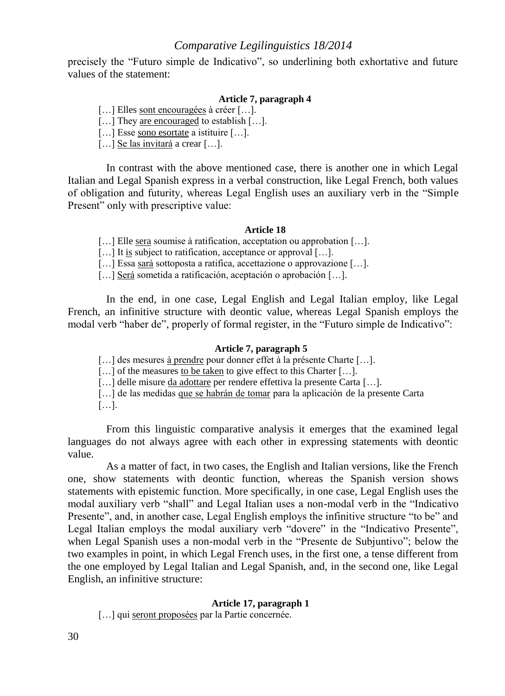precisely the "Futuro simple de Indicativo", so underlining both exhortative and future values of the statement:

### **Article 7, paragraph 4**

[...] Elles sont encouragées à créer [...].

[...] They are encouraged to establish [...].

[...] Esse sono esortate a istituire [...].

[...] Se las invitará a crear [...].

In contrast with the above mentioned case, there is another one in which Legal Italian and Legal Spanish express in a verbal construction, like Legal French, both values of obligation and futurity, whereas Legal English uses an auxiliary verb in the "Simple Present" only with prescriptive value:

#### **Article 18**

[...] Elle sera soumise à ratification, acceptation ou approbation [...].

[...] It is subject to ratification, acceptance or approval [...].

[...] Essa sarà sottoposta a ratifica, accettazione o approvazione [...].

[...] Será sometida a ratificación, aceptación o aprobación [...].

In the end, in one case, Legal English and Legal Italian employ, like Legal French, an infinitive structure with deontic value, whereas Legal Spanish employs the modal verb "haber de", properly of formal register, in the "Futuro simple de Indicativo":

#### **Article 7, paragraph 5**

[...] des mesures à prendre pour donner effet à la présente Charte [...].

[...] of the measures to be taken to give effect to this Charter [...].

[...] delle misure da adottare per rendere effettiva la presente Carta [...].

[...] de las medidas que se habrán de tomar para la aplicación de la presente Carta

[…].

From this linguistic comparative analysis it emerges that the examined legal languages do not always agree with each other in expressing statements with deontic value.

As a matter of fact, in two cases, the English and Italian versions, like the French one, show statements with deontic function, whereas the Spanish version shows statements with epistemic function. More specifically, in one case, Legal English uses the modal auxiliary verb "shall" and Legal Italian uses a non-modal verb in the "Indicativo Presente", and, in another case, Legal English employs the infinitive structure "to be" and Legal Italian employs the modal auxiliary verb "dovere" in the "Indicativo Presente", when Legal Spanish uses a non-modal verb in the "Presente de Subjuntivo"; below the two examples in point, in which Legal French uses, in the first one, a tense different from the one employed by Legal Italian and Legal Spanish, and, in the second one, like Legal English, an infinitive structure:

#### **Article 17, paragraph 1**

[...] qui seront proposées par la Partie concernée.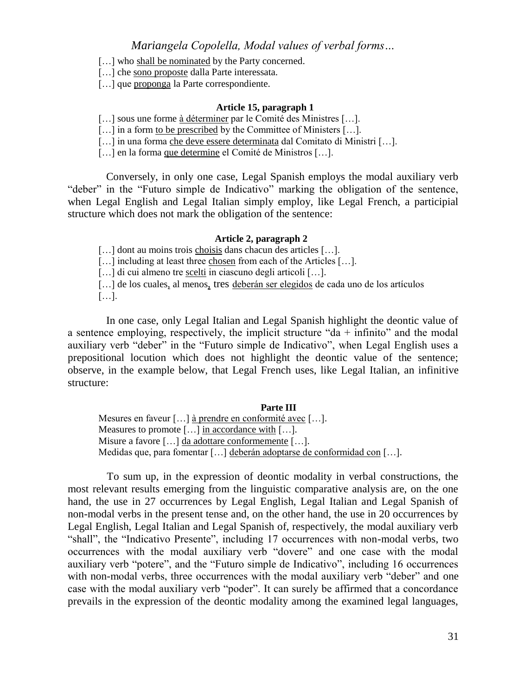[...] who shall be nominated by the Party concerned.

[...] che sono proposte dalla Parte interessata.

[...] que proponga la Parte correspondiente.

### **Article 15, paragraph 1**

[...] sous une forme à déterminer par le Comité des Ministres [...].

 $\left[\ldots\right]$  in a form to be prescribed by the Committee of Ministers  $\left[\ldots\right]$ .

[...] in una forma che deve essere determinata dal Comitato di Ministri [...].

[...] en la forma que determine el Comité de Ministros [...].

Conversely, in only one case, Legal Spanish employs the modal auxiliary verb "deber" in the "Futuro simple de Indicativo" marking the obligation of the sentence, when Legal English and Legal Italian simply employ, like Legal French, a participial structure which does not mark the obligation of the sentence:

#### **Article 2, paragraph 2**

[...] dont au moins trois choisis dans chacun des articles [...].

[...] including at least three chosen from each of the Articles [...].

[...] di cui almeno tre scelti in ciascuno degli articoli [...].

[...] de los cuales, al menos, tres deberán ser elegidos de cada uno de los artículos

[…].

In one case, only Legal Italian and Legal Spanish highlight the deontic value of a sentence employing, respectively, the implicit structure "da  $+$  infinito" and the modal auxiliary verb "deber" in the "Futuro simple de Indicativo", when Legal English uses a prepositional locution which does not highlight the deontic value of the sentence; observe, in the example below, that Legal French uses, like Legal Italian, an infinitive structure:

#### **Parte III**

Mesures en faveur […] à prendre en conformité avec […]. Measures to promote [...] in accordance with [...]. Misure a favore […] da adottare conformemente […]. Medidas que, para fomentar […] deberán adoptarse de conformidad con […].

To sum up, in the expression of deontic modality in verbal constructions, the most relevant results emerging from the linguistic comparative analysis are, on the one hand, the use in 27 occurrences by Legal English, Legal Italian and Legal Spanish of non-modal verbs in the present tense and, on the other hand, the use in 20 occurrences by Legal English, Legal Italian and Legal Spanish of, respectively, the modal auxiliary verb "shall", the "Indicativo Presente", including 17 occurrences with non-modal verbs, two occurrences with the modal auxiliary verb "dovere" and one case with the modal auxiliary verb "potere", and the "Futuro simple de Indicativo", including 16 occurrences with non-modal verbs, three occurrences with the modal auxiliary verb "deber" and one case with the modal auxiliary verb "poder". It can surely be affirmed that a concordance prevails in the expression of the deontic modality among the examined legal languages,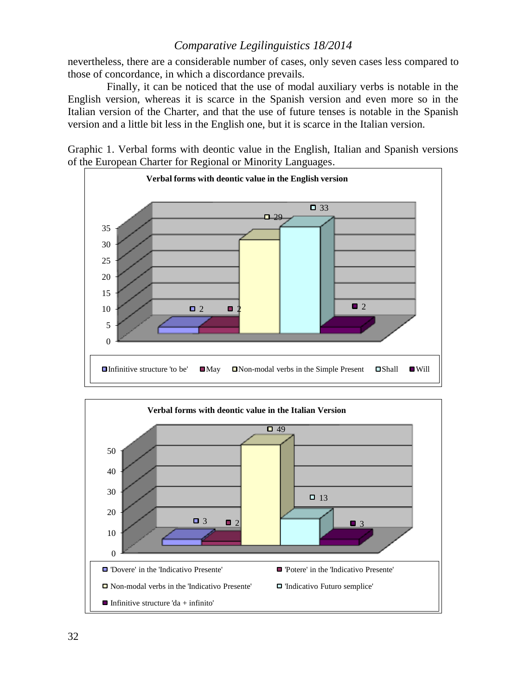nevertheless, there are a considerable number of cases, only seven cases less compared to those of concordance, in which a discordance prevails.

Finally, it can be noticed that the use of modal auxiliary verbs is notable in the English version, whereas it is scarce in the Spanish version and even more so in the Italian version of the Charter, and that the use of future tenses is notable in the Spanish version and a little bit less in the English one, but it is scarce in the Italian version.

Graphic 1. Verbal forms with deontic value in the English, Italian and Spanish versions of the European Charter for Regional or Minority Languages.



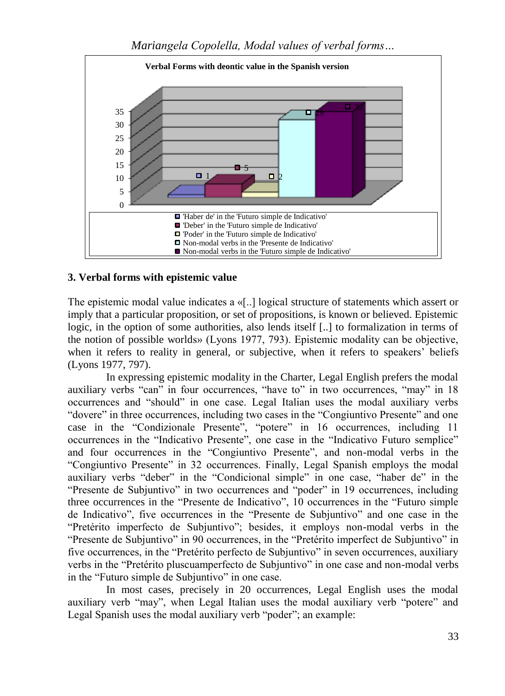

# **3. Verbal forms with epistemic value**

The epistemic modal value indicates a «[..] logical structure of statements which assert or imply that a particular proposition, or set of propositions, is known or believed. Epistemic logic, in the option of some authorities, also lends itself [..] to formalization in terms of the notion of possible worlds» (Lyons 1977, 793). Epistemic modality can be objective, when it refers to reality in general, or subjective, when it refers to speakers' beliefs (Lyons 1977, 797).

In expressing epistemic modality in the Charter, Legal English prefers the modal auxiliary verbs "can" in four occurrences, "have to" in two occurrences, "may" in 18 occurrences and "should" in one case. Legal Italian uses the modal auxiliary verbs "dovere" in three occurrences, including two cases in the "Congiuntivo Presente" and one case in the "Condizionale Presente", "potere" in 16 occurrences, including 11 occurrences in the "Indicativo Presente", one case in the "Indicativo Futuro semplice" and four occurrences in the "Congiuntivo Presente", and non-modal verbs in the "Congiuntivo Presente" in 32 occurrences. Finally, Legal Spanish employs the modal auxiliary verbs "deber" in the "Condicional simple" in one case, "haber de" in the "Presente de Subjuntivo" in two occurrences and "poder" in 19 occurrences, including three occurrences in the "Presente de Indicativo", 10 occurrences in the "Futuro simple de Indicativo", five occurrences in the "Presente de Subjuntivo" and one case in the "Pretérito imperfecto de Subjuntivo"; besides, it employs non-modal verbs in the "Presente de Subjuntivo" in 90 occurrences, in the "Pretérito imperfect de Subjuntivo" in five occurrences, in the "Pretérito perfecto de Subjuntivo" in seven occurrences, auxiliary verbs in the "Pretérito pluscuamperfecto de Subjuntivo" in one case and non-modal verbs in the "Futuro simple de Subjuntivo" in one case.

In most cases, precisely in 20 occurrences, Legal English uses the modal auxiliary verb "may", when Legal Italian uses the modal auxiliary verb "potere" and Legal Spanish uses the modal auxiliary verb "poder"; an example: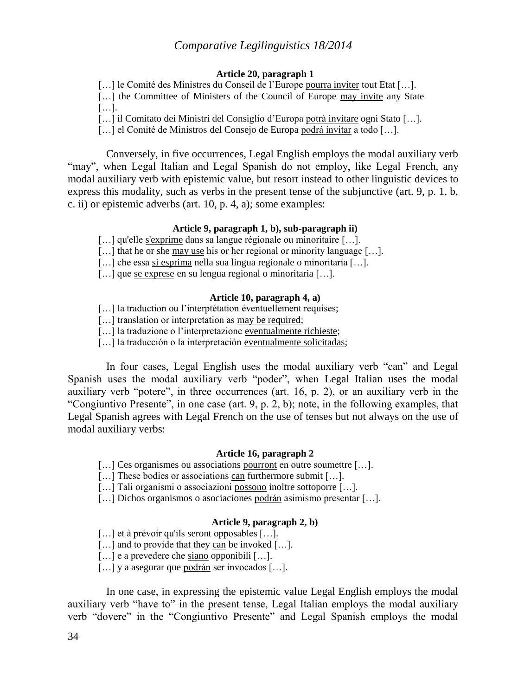#### **Article 20, paragraph 1**

[...] le Comité des Ministres du Conseil de l'Europe pourra inviter tout Etat [...].

[...] the Committee of Ministers of the Council of Europe may invite any State […].

[...] il Comitato dei Ministri del Consiglio d'Europa potrà invitare ogni Stato [...].

[…] el Comité de Ministros del Consejo de Europa podrá invitar a todo […].

Conversely, in five occurrences, Legal English employs the modal auxiliary verb "may", when Legal Italian and Legal Spanish do not employ, like Legal French, any modal auxiliary verb with epistemic value, but resort instead to other linguistic devices to express this modality, such as verbs in the present tense of the subjunctive (art. 9, p. 1, b, c. ii) or epistemic adverbs (art. 10, p. 4, a); some examples:

### **Article 9, paragraph 1, b), sub-paragraph ii)**

[...] qu'elle s'exprime dans sa langue régionale ou minoritaire [...].

[...] that he or she may use his or her regional or minority language [...].

[...] che essa si esprima nella sua lingua regionale o minoritaria [...].

[...] que <u>se exprese</u> en su lengua regional o minoritaria [...].

# **Article 10, paragraph 4, a)**

[...] la traduction ou l'interptétation éventuellement requises;

[...] translation or interpretation as may be required;

[...] la traduzione o l'interpretazione eventualmente richieste:

[...] la traducción o la interpretación eventualmente solicitadas;

In four cases, Legal English uses the modal auxiliary verb "can" and Legal Spanish uses the modal auxiliary verb "poder", when Legal Italian uses the modal auxiliary verb "potere", in three occurrences (art. 16, p. 2), or an auxiliary verb in the "Congiuntivo Presente", in one case (art. 9, p. 2, b); note, in the following examples, that Legal Spanish agrees with Legal French on the use of tenses but not always on the use of modal auxiliary verbs:

#### **Article 16, paragraph 2**

[...] Ces organismes ou associations pourront en outre soumettre [...].

[...] These bodies or associations can furthermore submit [...].

[...] Tali organismi o associazioni possono inoltre sottoporre [...].

[...] Dichos organismos o asociaciones podrán asimismo presentar [...].

### **Article 9, paragraph 2, b)**

[...] et à prévoir qu'ils seront opposables [...].

[...] and to provide that they can be invoked [...].

[...] e a prevedere che siano opponibili [...].

[...] y a asegurar que podrán ser invocados [...].

In one case, in expressing the epistemic value Legal English employs the modal auxiliary verb "have to" in the present tense, Legal Italian employs the modal auxiliary verb "dovere" in the "Congiuntivo Presente" and Legal Spanish employs the modal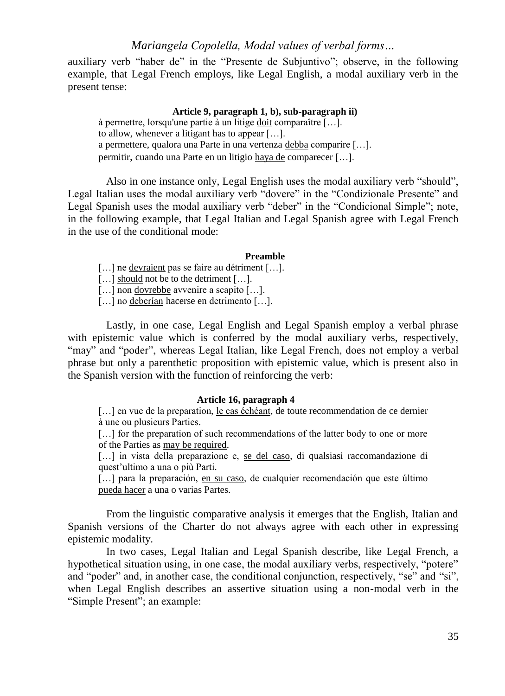auxiliary verb "haber de" in the "Presente de Subjuntivo"; observe, in the following example, that Legal French employs, like Legal English, a modal auxiliary verb in the present tense:

### **Article 9, paragraph 1, b), sub-paragraph ii)**

à permettre, lorsqu'une partie à un litige doit comparaître […]. to allow, whenever a litigant has to appear […]. a permettere, qualora una Parte in una vertenza debba comparire […]. permitir, cuando una Parte en un litigio haya de comparecer […].

Also in one instance only, Legal English uses the modal auxiliary verb "should", Legal Italian uses the modal auxiliary verb "dovere" in the "Condizionale Presente" and Legal Spanish uses the modal auxiliary verb "deber" in the "Condicional Simple"; note, in the following example, that Legal Italian and Legal Spanish agree with Legal French in the use of the conditional mode:

#### **Preamble**

[...] ne devraient pas se faire au détriment [...].

[...] should not be to the detriment [...].

[...] non dovrebbe avvenire a scapito [...].

[...] no deberían hacerse en detrimento [...].

Lastly, in one case, Legal English and Legal Spanish employ a verbal phrase with epistemic value which is conferred by the modal auxiliary verbs, respectively, "may" and "poder", whereas Legal Italian, like Legal French, does not employ a verbal phrase but only a parenthetic proposition with epistemic value, which is present also in the Spanish version with the function of reinforcing the verb:

### **Article 16, paragraph 4**

[...] en vue de la preparation, le cas échéant, de toute recommendation de ce dernier à une ou plusieurs Parties.

[...] for the preparation of such recommendations of the latter body to one or more of the Parties as may be required.

[...] in vista della preparazione e, se del caso, di qualsiasi raccomandazione di quest'ultimo a una o più Parti.

[...] para la preparación, en su caso, de cualquier recomendación que este último pueda hacer a una o varias Partes.

From the linguistic comparative analysis it emerges that the English, Italian and Spanish versions of the Charter do not always agree with each other in expressing epistemic modality.

In two cases, Legal Italian and Legal Spanish describe, like Legal French, a hypothetical situation using, in one case, the modal auxiliary verbs, respectively, "potere" and "poder" and, in another case, the conditional conjunction, respectively, "se" and "si", when Legal English describes an assertive situation using a non-modal verb in the "Simple Present"; an example: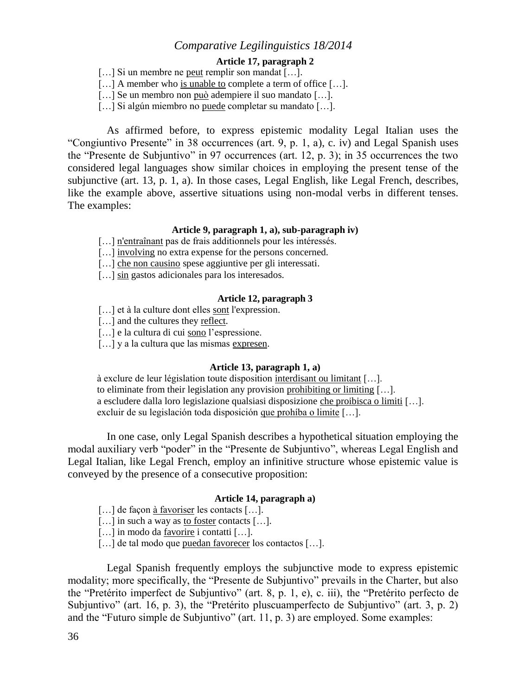### **Article 17, paragraph 2**

[...] Si un membre ne <u>peut</u> remplir son mandat [...].

[...] A member who is unable to complete a term of office [...].

[…] Se un membro non può adempiere il suo mandato […].

[...] Si algún miembro no puede completar su mandato [...].

As affirmed before, to express epistemic modality Legal Italian uses the "Congiuntivo Presente" in 38 occurrences (art. 9, p. 1, a), c. iv) and Legal Spanish uses the "Presente de Subjuntivo" in 97 occurrences (art. 12, p. 3); in 35 occurrences the two considered legal languages show similar choices in employing the present tense of the subjunctive (art. 13, p. 1, a). In those cases, Legal English, like Legal French, describes, like the example above, assertive situations using non-modal verbs in different tenses. The examples:

### **Article 9, paragraph 1, a), sub-paragraph iv)**

- [...] n'entraînant pas de frais additionnels pour les intéressés.
- [...] involving no extra expense for the persons concerned.
- [...] che non causino spese aggiuntive per gli interessati.
- [...] sin gastos adicionales para los interesados.

### **Article 12, paragraph 3**

- [...] et à la culture dont elles sont l'expression.
- [...] and the cultures they reflect.
- [...] e la cultura di cui sono l'espressione.
- [...] y a la cultura que las mismas expresen.

### **Article 13, paragraph 1, a)**

à exclure de leur législation toute disposition interdisant ou limitant […]. to eliminate from their legislation any provision prohibiting or limiting […]. a escludere dalla loro legislazione qualsiasi disposizione che proibisca o limiti […]. excluir de su legislación toda disposición que prohíba o limite […].

In one case, only Legal Spanish describes a hypothetical situation employing the modal auxiliary verb "poder" in the "Presente de Subjuntivo", whereas Legal English and Legal Italian, like Legal French, employ an infinitive structure whose epistemic value is conveyed by the presence of a consecutive proposition:

#### **Article 14, paragraph a)**

- [...] de façon <u>à favoriser</u> les contacts [...].
- [...] in such a way as to foster contacts [...].
- [...] in modo da favorire i contatti [...].
- […] de tal modo que puedan favorecer los contactos […].

Legal Spanish frequently employs the subjunctive mode to express epistemic modality; more specifically, the "Presente de Subjuntivo" prevails in the Charter, but also the "Pretérito imperfect de Subjuntivo" (art. 8, p. 1, e), c. iii), the "Pretérito perfecto de Subjuntivo" (art. 16, p. 3), the "Pretérito pluscuamperfecto de Subjuntivo" (art. 3, p. 2) and the "Futuro simple de Subjuntivo" (art. 11, p. 3) are employed. Some examples: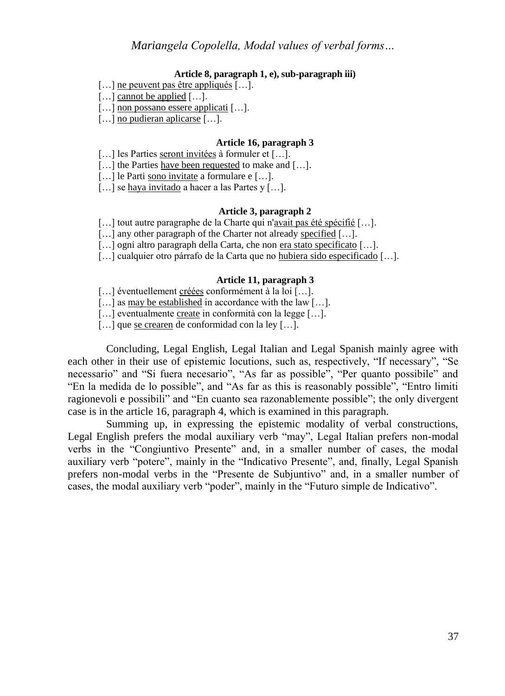#### **Article 8, paragraph 1, e), sub-paragraph iii)**

- [...] ne peuvent pas être appliqués [...].
- [...] cannot be applied [...].
- [...] non possano essere applicati [...].

[...] no pudieran aplicarse [...].

### **Article 16, paragraph 3**

[...] les Parties seront invitées à formuler et [...].

[…] the Parties have been requested to make and […].

[...] le Parti sono invitate a formulare e [...].

[...] se haya invitado a hacer a las Partes y [...].

#### **Article 3, paragraph 2**

[…] tout autre paragraphe de la Charte qui n'avait pas été spécifié […].

[...] any other paragraph of the Charter not already specified [...].

- [...] ogni altro paragraph della Carta, che non era stato specificato [...].
- […] cualquier otro párrafo de la Carta que no hubiera sido especificado […].

#### **Article 11, paragraph 3**

[...] éventuellement créées conformément à la loi [...].

[...] as may be established in accordance with the law [...].

[...] eventualmente create in conformità con la legge [...].

[...] que se crearen de conformidad con la ley [...].

Concluding, Legal English, Legal Italian and Legal Spanish mainly agree with each other in their use of epistemic locutions, such as, respectively, "If necessary", "Se necessario" and "Si fuera necesario", "As far as possible", "Per quanto possibile" and "En la medida de lo possible", and "As far as this is reasonably possible", "Entro limiti ragionevoli e possibili" and "En cuanto sea razonablemente possible"; the only divergent case is in the article 16, paragraph 4, which is examined in this paragraph.

Summing up, in expressing the epistemic modality of verbal constructions, Legal English prefers the modal auxiliary verb "may", Legal Italian prefers non-modal verbs in the "Congiuntivo Presente" and, in a smaller number of cases, the modal auxiliary verb "potere", mainly in the "Indicativo Presente", and, finally, Legal Spanish prefers non-modal verbs in the "Presente de Subjuntivo" and, in a smaller number of cases, the modal auxiliary verb "poder", mainly in the "Futuro simple de Indicativo".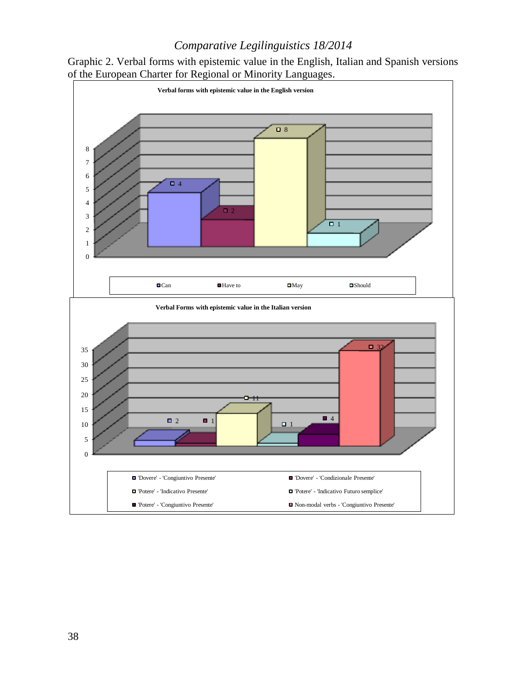

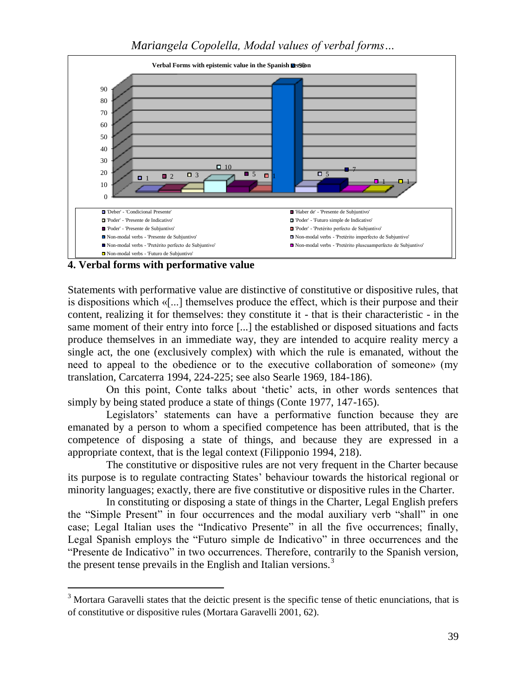

**4. Verbal forms with performative value**

 $\overline{a}$ 

Statements with performative value are distinctive of constitutive or dispositive rules, that is dispositions which «[...] themselves produce the effect, which is their purpose and their content, realizing it for themselves: they constitute it - that is their characteristic - in the same moment of their entry into force [...] the established or disposed situations and facts produce themselves in an immediate way, they are intended to acquire reality mercy a single act, the one (exclusively complex) with which the rule is emanated, without the need to appeal to the obedience or to the executive collaboration of someone» (my translation, Carcaterra 1994, 224-225; see also Searle 1969, 184-186).

On this point, Conte talks about 'thetic' acts, in other words sentences that simply by being stated produce a state of things (Conte 1977, 147-165).

Legislators' statements can have a performative function because they are emanated by a person to whom a specified competence has been attributed, that is the competence of disposing a state of things, and because they are expressed in a appropriate context, that is the legal context (Filipponio 1994, 218).

The constitutive or dispositive rules are not very frequent in the Charter because its purpose is to regulate contracting States' behaviour towards the historical regional or minority languages; exactly, there are five constitutive or dispositive rules in the Charter.

In constituting or disposing a state of things in the Charter, Legal English prefers the "Simple Present" in four occurrences and the modal auxiliary verb "shall" in one case; Legal Italian uses the "Indicativo Presente" in all the five occurrences; finally, Legal Spanish employs the "Futuro simple de Indicativo" in three occurrences and the "Presente de Indicativo" in two occurrences. Therefore, contrarily to the Spanish version, the present tense prevails in the English and Italian versions. $3$ 

 $3$  Mortara Garavelli states that the deictic present is the specific tense of thetic enunciations, that is of constitutive or dispositive rules (Mortara Garavelli 2001, 62).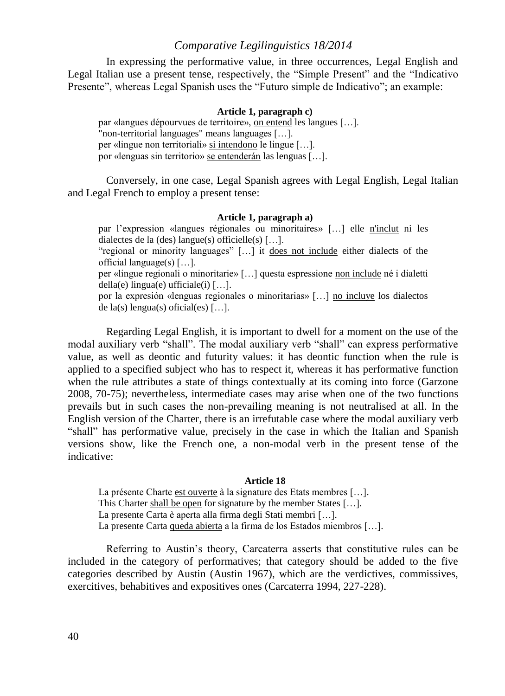In expressing the performative value, in three occurrences, Legal English and Legal Italian use a present tense, respectively, the "Simple Present" and the "Indicativo Presente", whereas Legal Spanish uses the "Futuro simple de Indicativo"; an example:

#### **Article 1, paragraph c)**

par «langues dépourvues de territoire», on entend les langues […]. non-territorial languages" means languages [...]. per «lingue non territoriali» si intendono le lingue […]. por «lenguas sin territorio» se entenderán las lenguas […].

Conversely, in one case, Legal Spanish agrees with Legal English, Legal Italian and Legal French to employ a present tense:

#### **Article 1, paragraph a)**

par l'expression «langues régionales ou minoritaires» […] elle n'inclut ni les dialectes de la (des) langue(s) officielle(s)  $[\dots]$ . "regional or minority languages" […] it does not include either dialects of the official language(s) […].

per «lingue regionali o minoritarie» […] questa espressione non include né i dialetti della(e) lingua(e) ufficiale(i)  $[\dots]$ .

por la expresión «lenguas regionales o minoritarias» […] no incluye los dialectos de la(s) lengua(s) oficial(es)  $[\dots]$ .

Regarding Legal English, it is important to dwell for a moment on the use of the modal auxiliary verb "shall". The modal auxiliary verb "shall" can express performative value, as well as deontic and futurity values: it has deontic function when the rule is applied to a specified subject who has to respect it, whereas it has performative function when the rule attributes a state of things contextually at its coming into force (Garzone 2008, 70-75); nevertheless, intermediate cases may arise when one of the two functions prevails but in such cases the non-prevailing meaning is not neutralised at all. In the English version of the Charter, there is an irrefutable case where the modal auxiliary verb "shall" has performative value, precisely in the case in which the Italian and Spanish versions show, like the French one, a non-modal verb in the present tense of the indicative:

#### **Article 18**

La présente Charte est ouverte à la signature des Etats membres [...]. This Charter shall be open for signature by the member States […]. La presente Carta è aperta alla firma degli Stati membri [...]. La presente Carta queda abierta a la firma de los Estados miembros […].

Referring to Austin's theory, Carcaterra asserts that constitutive rules can be included in the category of performatives; that category should be added to the five categories described by Austin (Austin 1967), which are the verdictives, commissives, exercitives, behabitives and expositives ones (Carcaterra 1994, 227-228).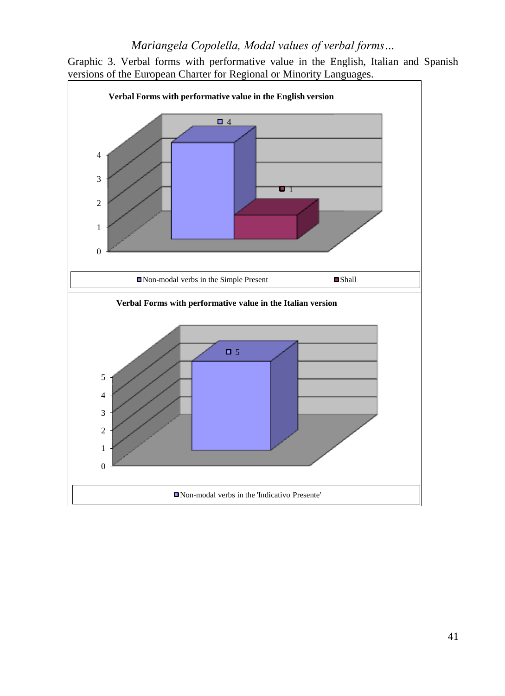

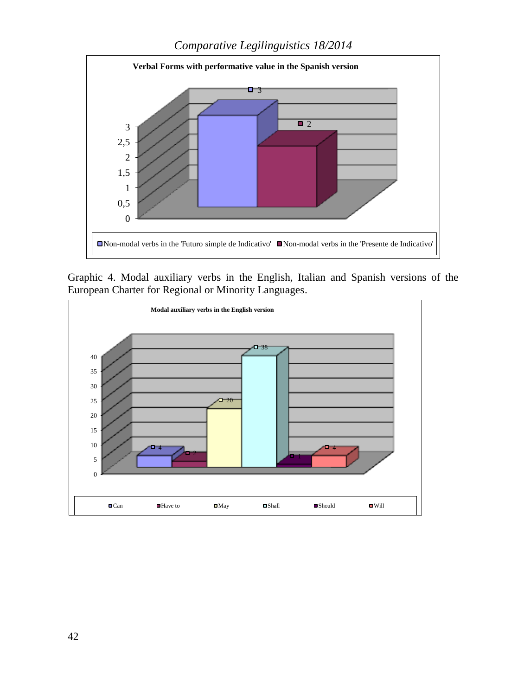

Graphic 4. Modal auxiliary verbs in the English, Italian and Spanish versions of the European Charter for Regional or Minority Languages.

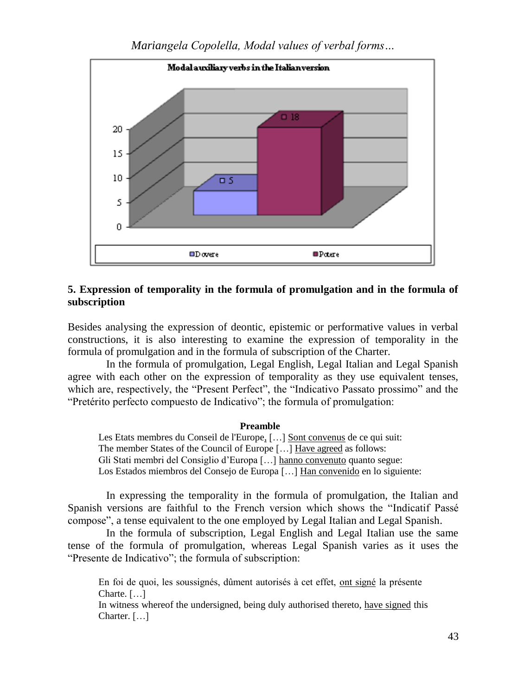

# **5. Expression of temporality in the formula of promulgation and in the formula of subscription**

Besides analysing the expression of deontic, epistemic or performative values in verbal constructions, it is also interesting to examine the expression of temporality in the formula of promulgation and in the formula of subscription of the Charter.

In the formula of promulgation, Legal English, Legal Italian and Legal Spanish agree with each other on the expression of temporality as they use equivalent tenses, which are, respectively, the "Present Perfect", the "Indicativo Passato prossimo" and the "Pretérito perfecto compuesto de Indicativo"; the formula of promulgation:

#### **Preamble**

Les Etats membres du Conseil de l'Europe, […] Sont convenus de ce qui suit: The member States of the Council of Europe [...] Have agreed as follows: Gli Stati membri del Consiglio d'Europa […] hanno convenuto quanto segue: Los Estados miembros del Consejo de Europa […] Han convenido en lo siguiente:

In expressing the temporality in the formula of promulgation, the Italian and Spanish versions are faithful to the French version which shows the "Indicatif Passé compose", a tense equivalent to the one employed by Legal Italian and Legal Spanish.

In the formula of subscription, Legal English and Legal Italian use the same tense of the formula of promulgation, whereas Legal Spanish varies as it uses the "Presente de Indicativo"; the formula of subscription:

En foi de quoi, les soussignés, dûment autorisés à cet effet, ont signé la présente Charte. […]

In witness whereof the undersigned, being duly authorised thereto, have signed this Charter. […]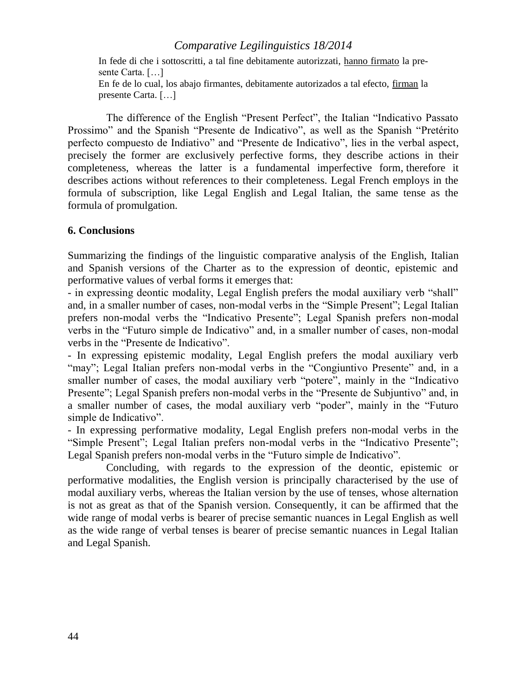In fede di che i sottoscritti, a tal fine debitamente autorizzati, hanno firmato la presente Carta. […]

En fe de lo cual, los abajo firmantes, debitamente autorizados a tal efecto, firman la presente Carta. […]

The difference of the English "Present Perfect", the Italian "Indicativo Passato Prossimo" and the Spanish "Presente de Indicativo", as well as the Spanish "Pretérito perfecto compuesto de Indiativo" and "Presente de Indicativo", lies in the verbal aspect, precisely the former are exclusively perfective forms, they describe actions in their completeness, whereas the latter is a fundamental imperfective form, therefore it describes actions without references to their completeness. Legal French employs in the formula of subscription, like Legal English and Legal Italian, the same tense as the formula of promulgation.

# **6. Conclusions**

Summarizing the findings of the linguistic comparative analysis of the English, Italian and Spanish versions of the Charter as to the expression of deontic, epistemic and performative values of verbal forms it emerges that:

- in expressing deontic modality, Legal English prefers the modal auxiliary verb "shall" and, in a smaller number of cases, non-modal verbs in the "Simple Present"; Legal Italian prefers non-modal verbs the "Indicativo Presente"; Legal Spanish prefers non-modal verbs in the "Futuro simple de Indicativo" and, in a smaller number of cases, non-modal verbs in the "Presente de Indicativo".

- In expressing epistemic modality, Legal English prefers the modal auxiliary verb "may"; Legal Italian prefers non-modal verbs in the "Congiuntivo Presente" and, in a smaller number of cases, the modal auxiliary verb "potere", mainly in the "Indicativo" Presente"; Legal Spanish prefers non-modal verbs in the "Presente de Subjuntivo" and, in a smaller number of cases, the modal auxiliary verb "poder", mainly in the "Futuro simple de Indicativo".

- In expressing performative modality, Legal English prefers non-modal verbs in the "Simple Present"; Legal Italian prefers non-modal verbs in the "Indicativo Presente"; Legal Spanish prefers non-modal verbs in the "Futuro simple de Indicativo".

Concluding, with regards to the expression of the deontic, epistemic or performative modalities, the English version is principally characterised by the use of modal auxiliary verbs, whereas the Italian version by the use of tenses, whose alternation is not as great as that of the Spanish version. Consequently, it can be affirmed that the wide range of modal verbs is bearer of precise semantic nuances in Legal English as well as the wide range of verbal tenses is bearer of precise semantic nuances in Legal Italian and Legal Spanish.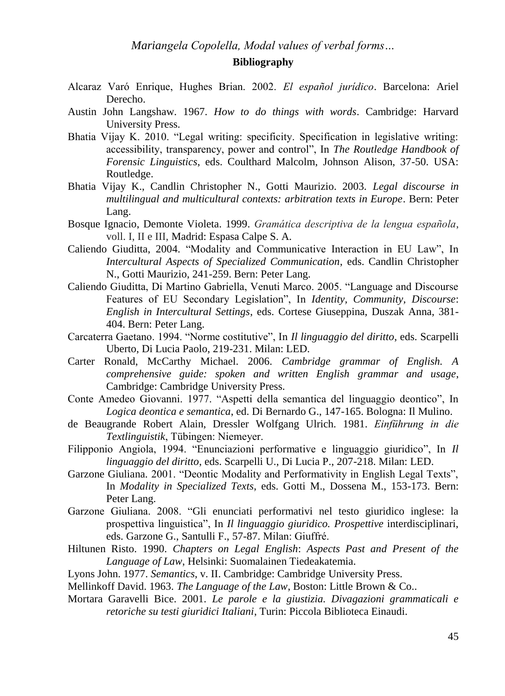# **Bibliography**

- Alcaraz Varó Enrique, Hughes Brian. 2002. *El español jurídico*. Barcelona: Ariel Derecho.
- Austin John Langshaw. 1967. *How to do things with words*. Cambridge: Harvard University Press.
- Bhatia Vijay K. 2010. "Legal writing: specificity. Specification in legislative writing: accessibility, transparency, power and control", In *The Routledge Handbook of Forensic Linguistics*, eds. Coulthard Malcolm, Johnson Alison, 37-50. USA: Routledge.
- Bhatia Vijay K., Candlin Christopher N., Gotti Maurizio. 2003. *Legal discourse in multilingual and multicultural contexts: arbitration texts in Europe*. Bern: Peter Lang.
- Bosque Ignacio, Demonte Violeta. 1999. *Gramática descriptiva de la lengua española*, voll. I, II e III, Madrid: Espasa Calpe S. A.
- Caliendo Giuditta, 2004. "Modality and Communicative Interaction in EU Law", In *Intercultural Aspects of Specialized Communication*, eds. Candlin Christopher N., Gotti Maurizio, 241-259. Bern: Peter Lang.
- Caliendo Giuditta, Di Martino Gabriella, Venuti Marco. 2005. "Language and Discourse Features of EU Secondary Legislation", In *Identity, Community, Discourse*: *English in Intercultural Settings*, eds. Cortese Giuseppina, Duszak Anna, 381- 404. Bern: Peter Lang.
- Carcaterra Gaetano. 1994. "Norme costitutive", In *Il linguaggio del diritto*, eds. Scarpelli Uberto, Di Lucia Paolo, 219-231. Milan: LED.
- Carter Ronald, McCarthy Michael. 2006. *Cambridge grammar of English. A comprehensive guide: spoken and written English grammar and usage*, Cambridge: Cambridge University Press.
- Conte Amedeo Giovanni. 1977. "Aspetti della semantica del linguaggio deontico", In *Logica deontica e semantica*, ed. Di Bernardo G., 147-165. Bologna: Il Mulino.
- de Beaugrande Robert Alain, Dressler Wolfgang Ulrich. 1981. *Einführung in die Textlinguistik*, Tübingen: Niemeyer.
- Filipponio Angiola, 1994. "Enunciazioni performative e linguaggio giuridico", In *Il linguaggio del diritto*, eds. Scarpelli U., Di Lucia P., 207-218. Milan: LED.
- Garzone Giuliana. 2001. "Deontic Modality and Performativity in English Legal Texts", In *Modality in Specialized Texts*, eds. Gotti M., Dossena M., 153-173. Bern: Peter Lang.
- Garzone Giuliana. 2008. "Gli enunciati performativi nel testo giuridico inglese: la prospettiva linguistica", In *Il linguaggio giuridico. Prospettive* interdisciplinari, eds. Garzone G., Santulli F., 57-87. Milan: Giuffré.
- Hiltunen Risto. 1990. *Chapters on Legal English*: *Aspects Past and Present of the Language of Law*, Helsinki: Suomalainen Tiedeakatemia.
- Lyons John. 1977. *Semantics*, v. II. Cambridge: Cambridge University Press.
- Mellinkoff David. 1963. *The Language of the Law*, Boston: Little Brown & Co..
- Mortara Garavelli Bice. 2001. *Le parole e la giustizia. Divagazioni grammaticali e retoriche su testi giuridici Italiani*, Turin: Piccola Biblioteca Einaudi.